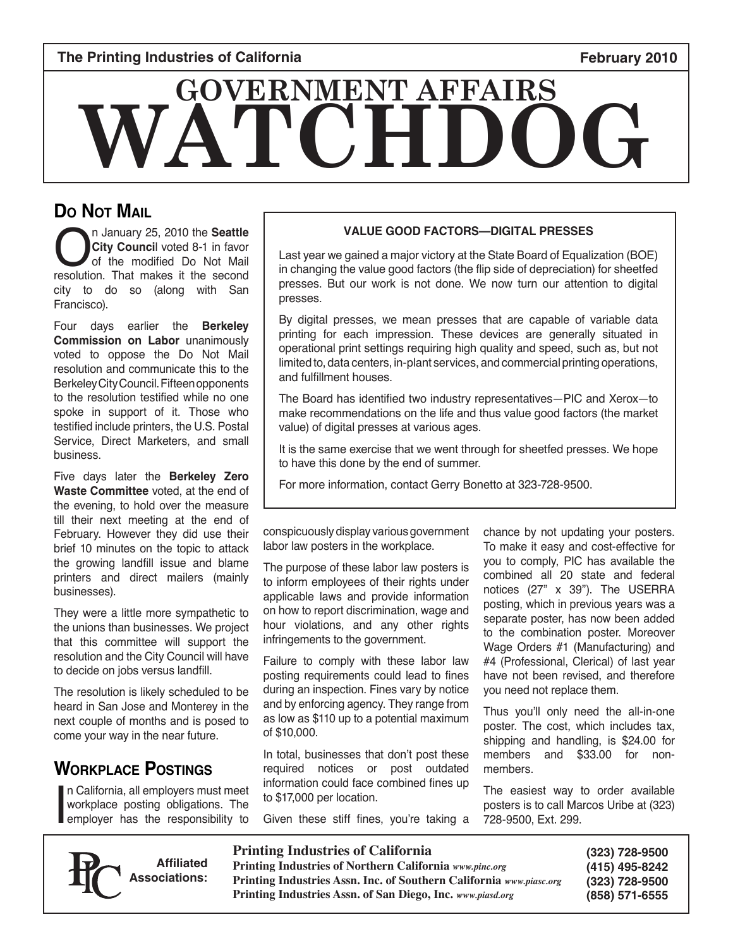#### **The Printing Industries of California February 2010**

# **WATCH GOVERNMENT AFFAIRS**

### **Do Not Mail**

**City Council** voted 8-1 in favor of the modified Do Not Mail resolution. That makes it the second **City Counci**l voted 8-1 in favor of the modified Do Not Mail city to do so (along with San Francisco).

Four days earlier the **Berkeley Commission on Labor** unanimously voted to oppose the Do Not Mail resolution and communicate this to the Berkeley City Council. Fifteen opponents to the resolution testified while no one spoke in support of it. Those who testified include printers, the U.S. Postal Service, Direct Marketers, and small business.

Five days later the **Berkeley Zero Waste Committee** voted, at the end of the evening, to hold over the measure till their next meeting at the end of February. However they did use their brief 10 minutes on the topic to attack the growing landfill issue and blame printers and direct mailers (mainly businesses).

They were a little more sympathetic to the unions than businesses. We project that this committee will support the resolution and the City Council will have to decide on jobs versus landfill.

The resolution is likely scheduled to be heard in San Jose and Monterey in the next couple of months and is posed to come your way in the near future.

#### **Workplace Postings**

I n California, all employers must meet workplace posting obligations. The employer has the responsibility to



Last year we gained a major victory at the State Board of Equalization (BOE) in changing the value good factors (the flip side of depreciation) for sheetfed presses. But our work is not done. We now turn our attention to digital presses.

By digital presses, we mean presses that are capable of variable data printing for each impression. These devices are generally situated in operational print settings requiring high quality and speed, such as, but not limited to, data centers, in-plant services, and commercial printing operations, and fulfillment houses.

The Board has identified two industry representatives—PIC and Xerox—to make recommendations on the life and thus value good factors (the market value) of digital presses at various ages.

It is the same exercise that we went through for sheetfed presses. We hope to have this done by the end of summer.

For more information, contact Gerry Bonetto at 323-728-9500.

conspicuously display various government labor law posters in the workplace.

The purpose of these labor law posters is to inform employees of their rights under applicable laws and provide information on how to report discrimination, wage and hour violations, and any other rights infringements to the government.

Failure to comply with these labor law posting requirements could lead to fines during an inspection. Fines vary by notice and by enforcing agency. They range from as low as \$110 up to a potential maximum of \$10,000.

In total, businesses that don't post these required notices or post outdated information could face combined fines up to \$17,000 per location.

Given these stiff fines, you're taking a

chance by not updating your posters. To make it easy and cost-effective for you to comply, PIC has available the combined all 20 state and federal notices (27" x 39"). The USERRA posting, which in previous years was a separate poster, has now been added to the combination poster. Moreover Wage Orders #1 (Manufacturing) and #4 (Professional, Clerical) of last year have not been revised, and therefore you need not replace them.

Thus you'll only need the all-in-one poster. The cost, which includes tax, shipping and handling, is \$24.00 for members and \$33.00 for nonmembers.

The easiest way to order available posters is to call Marcos Uribe at (323) 728-9500, Ext. 299.

**Affiliated Associations:**

**Printing Industries of California Printing Industries of Northern California** *www.pinc.org* **Printing Industries Assn. Inc. of Southern California** *www.piasc.org* **Printing Industries Assn. of San Diego, Inc.** *www.piasd.org*

**(323) 728-9500 (415) 495-8242 (323) 728-9500 (858) 571-6555**